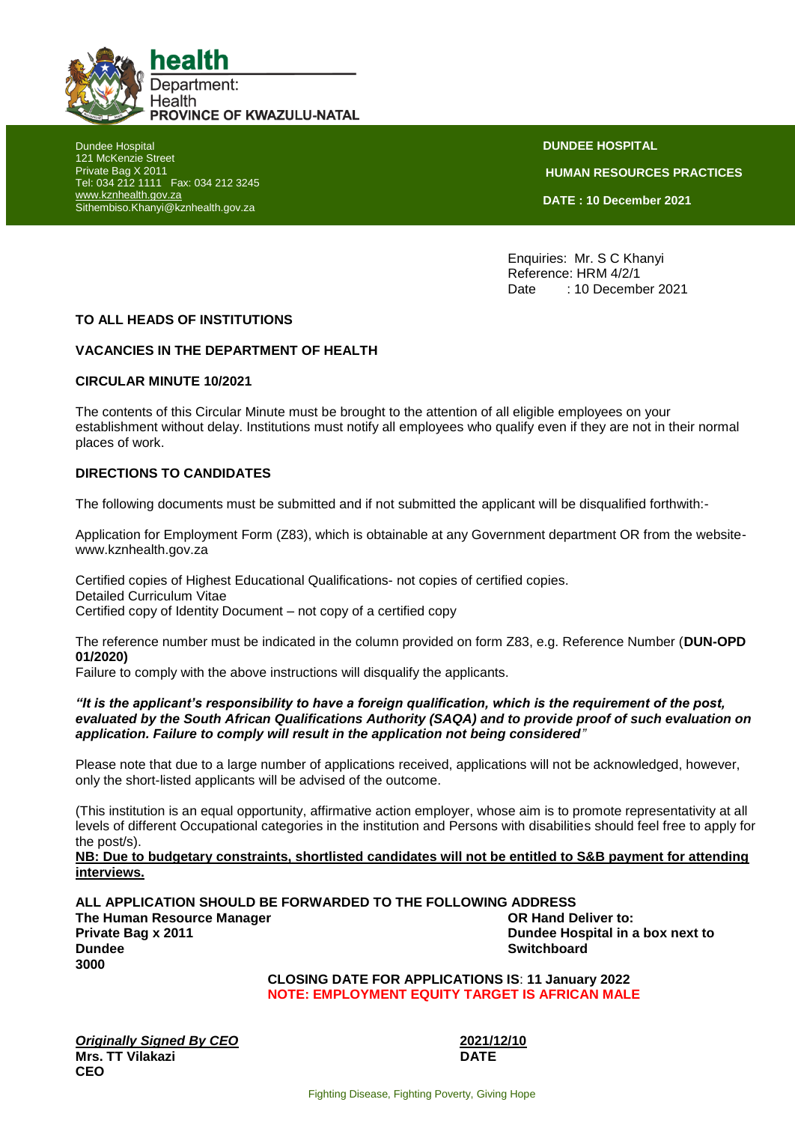

Dundee Hospital 121 McKenzie Street Private Bag X 2011 Tel: 034 212 1111 Fax: 034 212 3245 [www.kznhealth.gov.za](http://www.kznhealth.gov.za/) Sithembiso.Khanyi@kznhealth.gov.za

**DUNDEE HOSPITAL HUMAN RESOURCES PRACTICES DATE : 10 December 2021**

Enquiries: Mr. S C Khanyi Reference: HRM 4/2/1 Date : 10 December 2021

## **TO ALL HEADS OF INSTITUTIONS**

## **VACANCIES IN THE DEPARTMENT OF HEALTH**

#### **CIRCULAR MINUTE 10/2021**

The contents of this Circular Minute must be brought to the attention of all eligible employees on your establishment without delay. Institutions must notify all employees who qualify even if they are not in their normal places of work.

### **DIRECTIONS TO CANDIDATES**

The following documents must be submitted and if not submitted the applicant will be disqualified forthwith:-

Application for Employment Form (Z83), which is obtainable at any Government department OR from the websitewww.kznhealth.gov.za

Certified copies of Highest Educational Qualifications- not copies of certified copies. Detailed Curriculum Vitae Certified copy of Identity Document – not copy of a certified copy

The reference number must be indicated in the column provided on form Z83, e.g. Reference Number (**DUN-OPD 01/2020)** 

Failure to comply with the above instructions will disqualify the applicants.

#### *"It is the applicant's responsibility to have a foreign qualification, which is the requirement of the post, evaluated by the South African Qualifications Authority (SAQA) and to provide proof of such evaluation on application. Failure to comply will result in the application not being considered"*

Please note that due to a large number of applications received, applications will not be acknowledged, however, only the short-listed applicants will be advised of the outcome.

(This institution is an equal opportunity, affirmative action employer, whose aim is to promote representativity at all levels of different Occupational categories in the institution and Persons with disabilities should feel free to apply for the post/s).

**NB: Due to budgetary constraints, shortlisted candidates will not be entitled to S&B payment for attending interviews.**

**ALL APPLICATION SHOULD BE FORWARDED TO THE FOLLOWING ADDRESS The Human Resource Manager Community Community Community Community Community Community Community Community Community Community Community Community Community Community Community Community Community Community Community Comm Private Bag x 2011 Dundee Hospital in a box next to Dundee** Switchboard **3000**

**CLOSING DATE FOR APPLICATIONS IS**: **11 January 2022 NOTE: EMPLOYMENT EQUITY TARGET IS AFRICAN MALE**